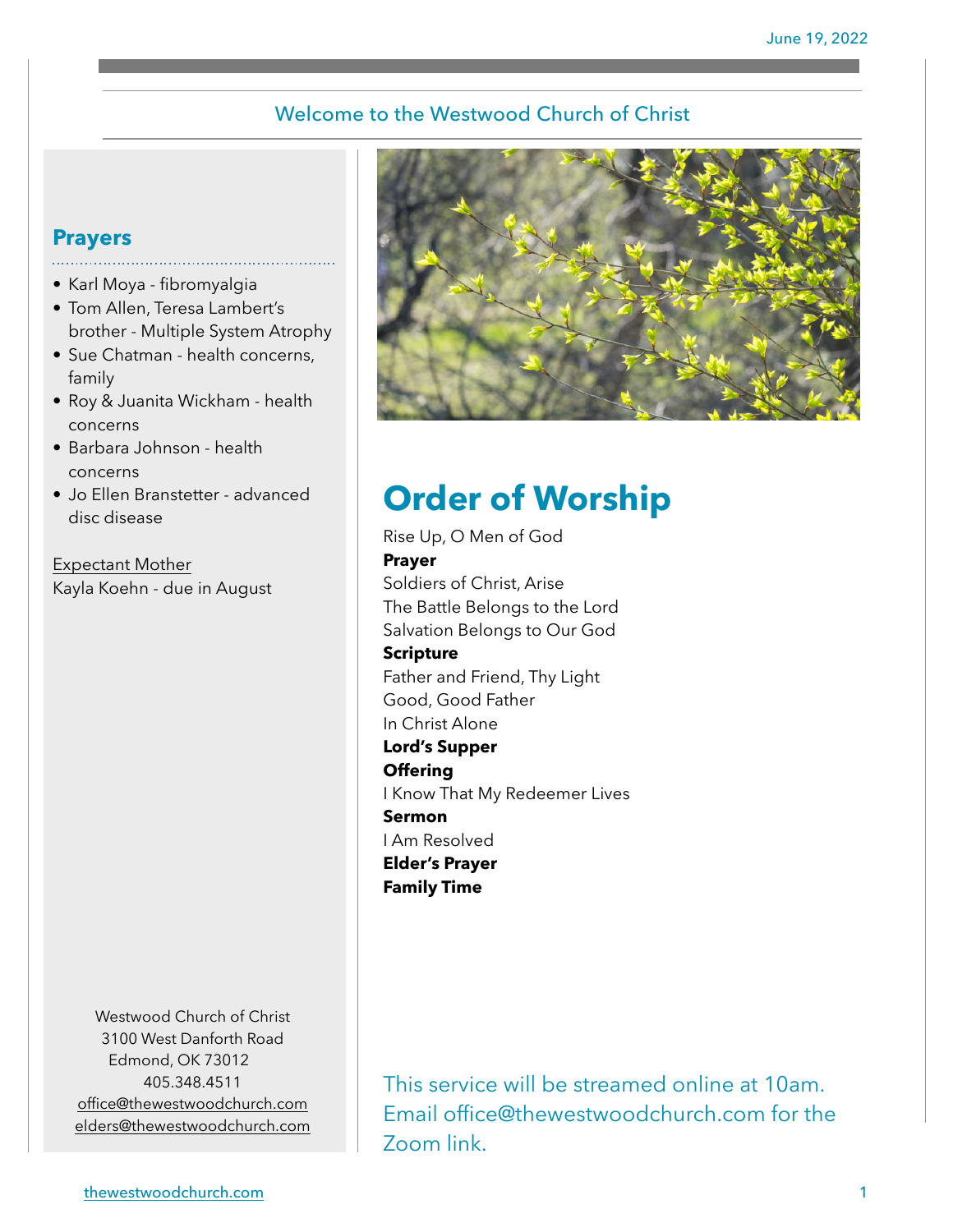### Welcome to the Westwood Church of Christ

## **Prayers**

- Karl Moya fibromyalgia
- Tom Allen, Teresa Lambert's brother - Multiple System Atrophy
- Sue Chatman health concerns, family
- Roy & Juanita Wickham health concerns
- Barbara Johnson health concerns
- Jo Ellen Branstetter advanced disc disease

Expectant Mother Kayla Koehn - due in August

> Westwood Church of Christ 3100 West Danforth Road Edmond, OK 73012 405.348.4511 [office@thewestwoodchurch.com](mailto:office@thewestwoodchurch.com) [elders@thewestwoodchurch.com](mailto:elders@thewestwoodchurch.com)



# **Order of Worship**

Rise Up, O Men of God **Prayer** Soldiers of Christ, Arise The Battle Belongs to the Lord Salvation Belongs to Our God **Scripture** Father and Friend, Thy Light Good, Good Father In Christ Alone **Lord's Supper Offering** I Know That My Redeemer Lives **Sermon** I Am Resolved **Elder's Prayer Family Time**

This service will be streamed online at 10am. Email office@thewestwoodchurch.com for the Zoom link.